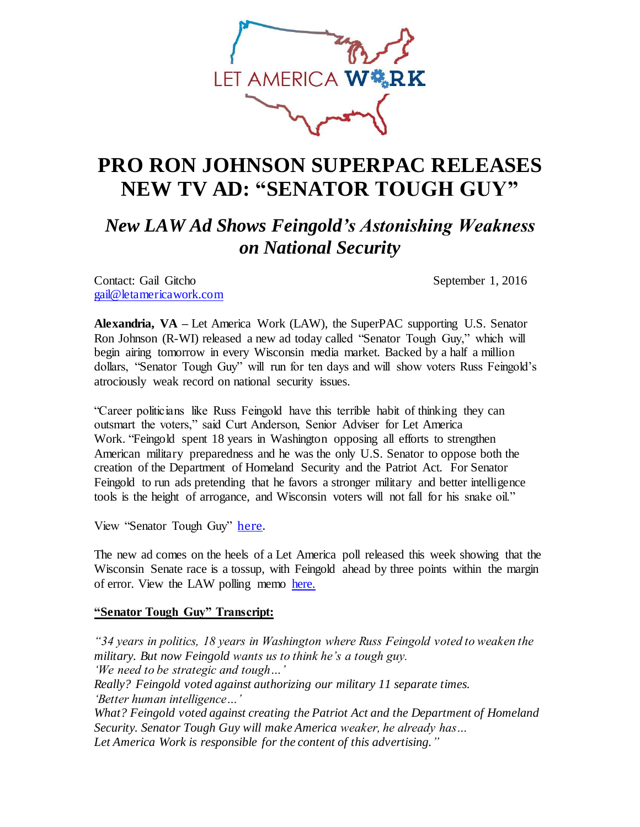

## **PRO RON JOHNSON SUPERPAC RELEASES NEW TV AD: "SENATOR TOUGH GUY"**

*New LAW Ad Shows Feingold's Astonishing Weakness on National Security* 

Contact: Gail Gitcho September 1, 2016 [gail@letamericawork.com](mailto:gail@letamericawork.com)

**Alexandria, VA –** Let America Work (LAW), the SuperPAC supporting U.S. Senator Ron Johnson (R-WI) released a new ad today called "Senator Tough Guy," which will begin airing tomorrow in every Wisconsin media market. Backed by a half a million dollars, "Senator Tough Guy" will run for ten days and will show voters Russ Feingold's atrociously weak record on national security issues.

"Career politicians like Russ Feingold have this terrible habit of thinking they can outsmart the voters," said Curt Anderson, Senior Adviser for Let America Work. "Feingold spent 18 years in Washington opposing all efforts to strengthen American military preparedness and he was the only U.S. Senator to oppose both the creation of the Department of Homeland Security and the Patriot Act. For Senator Feingold to run ads pretending that he favors a stronger military and better intelligence tools is the height of arrogance, and Wisconsin voters will not fall for his snake oil."

View "Senator Tough Guy" [here.](https://youtu.be/h6u1rNLXmN8)

The new ad comes on the heels of a Let America poll released this week showing that the Wisconsin Senate race is a tossup, with Feingold ahead by three points within the margin of error. View the LAW polling memo [here.](http://letamericawork.com/)

## **"Senator Tough Guy" Transcript:**

*"34 years in politics, 18 years in Washington where Russ Feingold voted to weaken the military. But now Feingold wants us to think he's a tough guy. 'We need to be strategic and tough…' Really? Feingold voted against authorizing our military 11 separate times. 'Better human intelligence…' What? Feingold voted against creating the Patriot Act and the Department of Homeland Security. Senator Tough Guy will make America weaker, he already has…*

*Let America Work is responsible for the content of this advertising."*